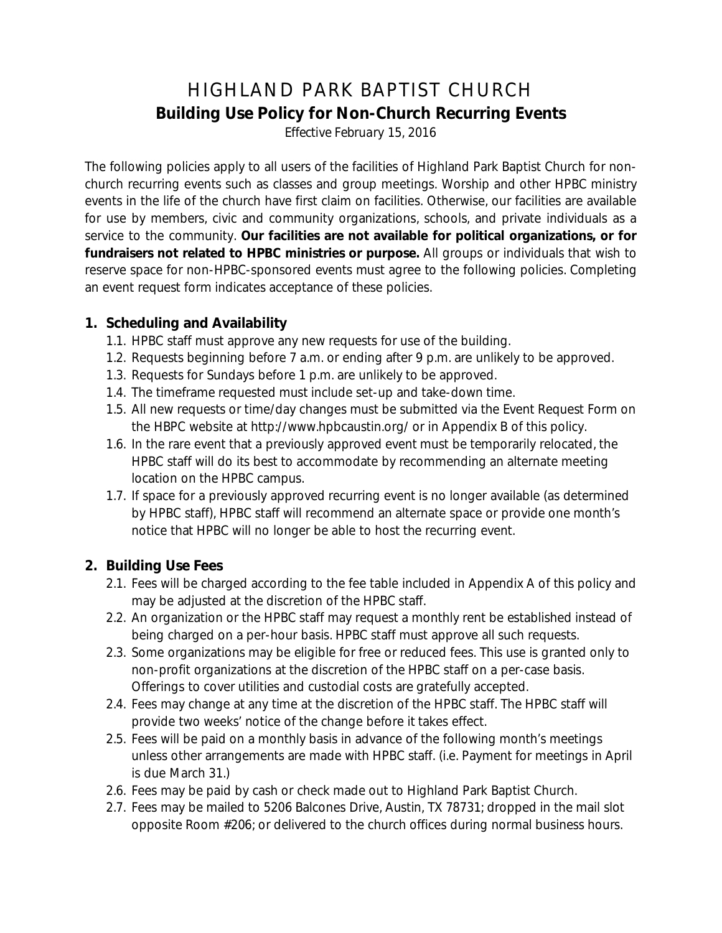# HIGHLAND PARK BAPTIST CHURCH **Building Use Policy for Non-Church Recurring Events**

*Effective February 15, 2016*

The following policies apply to all users of the facilities of Highland Park Baptist Church for nonchurch recurring events such as classes and group meetings. Worship and other HPBC ministry events in the life of the church have first claim on facilities. Otherwise, our facilities are available for use by members, civic and community organizations, schools, and private individuals as a service to the community. **Our facilities are not available for political organizations, or for fundraisers not related to HPBC ministries or purpose.** All groups or individuals that wish to reserve space for non-HPBC-sponsored events must agree to the following policies. Completing an event request form indicates acceptance of these policies.

#### **1. Scheduling and Availability**

- 1.1. HPBC staff must approve any new requests for use of the building.
- 1.2. Requests beginning before 7 a.m. or ending after 9 p.m. are unlikely to be approved.
- 1.3. Requests for Sundays before 1 p.m. are unlikely to be approved.
- 1.4. The timeframe requested must include set-up and take-down time.
- 1.5. All new requests or time/day changes must be submitted via the Event Request Form on the HBPC website at http://www.hpbcaustin.org/ or in Appendix B of this policy.
- 1.6. In the rare event that a previously approved event must be temporarily relocated, the HPBC staff will do its best to accommodate by recommending an alternate meeting location on the HPBC campus.
- 1.7. If space for a previously approved recurring event is no longer available (as determined by HPBC staff), HPBC staff will recommend an alternate space or provide one month's notice that HPBC will no longer be able to host the recurring event.

#### **2. Building Use Fees**

- 2.1. Fees will be charged according to the fee table included in Appendix A of this policy and may be adjusted at the discretion of the HPBC staff.
- 2.2. An organization or the HPBC staff may request a monthly rent be established instead of being charged on a per-hour basis. HPBC staff must approve all such requests.
- 2.3. Some organizations may be eligible for free or reduced fees. This use is granted only to non-profit organizations at the discretion of the HPBC staff on a per-case basis. Offerings to cover utilities and custodial costs are gratefully accepted.
- 2.4. Fees may change at any time at the discretion of the HPBC staff. The HPBC staff will provide two weeks' notice of the change before it takes effect.
- 2.5. Fees will be paid on a monthly basis in advance of the following month's meetings unless other arrangements are made with HPBC staff. (i.e. Payment for meetings in April is due March 31.)
- 2.6. Fees may be paid by cash or check made out to Highland Park Baptist Church.
- 2.7. Fees may be mailed to 5206 Balcones Drive, Austin, TX 78731; dropped in the mail slot opposite Room #206; or delivered to the church offices during normal business hours.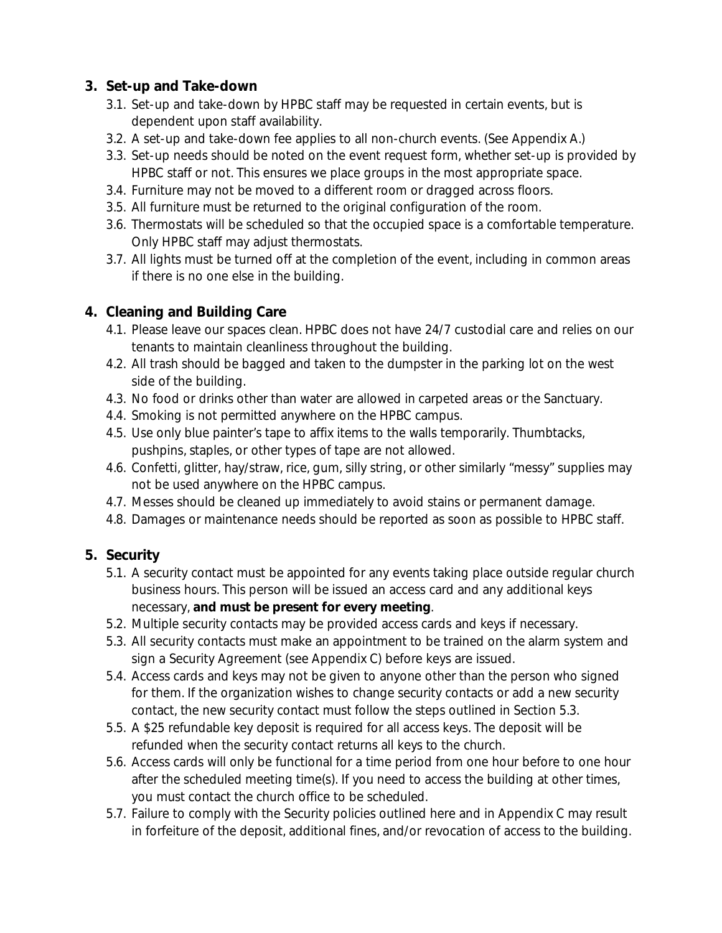#### **3. Set-up and Take-down**

- 3.1. Set-up and take-down by HPBC staff may be requested in certain events, but is dependent upon staff availability.
- 3.2. A set-up and take-down fee applies to all non-church events. (See Appendix A.)
- 3.3. Set-up needs should be noted on the event request form, whether set-up is provided by HPBC staff or not. This ensures we place groups in the most appropriate space.
- 3.4. Furniture may not be moved to a different room or dragged across floors.
- 3.5. All furniture must be returned to the original configuration of the room.
- 3.6. Thermostats will be scheduled so that the occupied space is a comfortable temperature. Only HPBC staff may adjust thermostats.
- 3.7. All lights must be turned off at the completion of the event, including in common areas if there is no one else in the building.

#### **4. Cleaning and Building Care**

- 4.1. Please leave our spaces clean. HPBC does not have 24/7 custodial care and relies on our tenants to maintain cleanliness throughout the building.
- 4.2. All trash should be bagged and taken to the dumpster in the parking lot on the west side of the building.
- 4.3. No food or drinks other than water are allowed in carpeted areas or the Sanctuary.
- 4.4. Smoking is not permitted anywhere on the HPBC campus.
- 4.5. Use only blue painter's tape to affix items to the walls temporarily. Thumbtacks, pushpins, staples, or other types of tape are not allowed.
- 4.6. Confetti, glitter, hay/straw, rice, gum, silly string, or other similarly "messy" supplies may not be used anywhere on the HPBC campus.
- 4.7. Messes should be cleaned up immediately to avoid stains or permanent damage.
- 4.8. Damages or maintenance needs should be reported as soon as possible to HPBC staff.

#### **5. Security**

- 5.1. A security contact must be appointed for any events taking place outside regular church business hours. This person will be issued an access card and any additional keys necessary, **and must be present for every meeting**.
- 5.2. Multiple security contacts may be provided access cards and keys if necessary.
- 5.3. All security contacts must make an appointment to be trained on the alarm system and sign a Security Agreement (see Appendix C) before keys are issued.
- 5.4. Access cards and keys may not be given to anyone other than the person who signed for them. If the organization wishes to change security contacts or add a new security contact, the new security contact must follow the steps outlined in Section 5.3.
- 5.5. A \$25 refundable key deposit is required for all access keys. The deposit will be refunded when the security contact returns all keys to the church.
- 5.6. Access cards will only be functional for a time period from one hour before to one hour after the scheduled meeting time(s). If you need to access the building at other times, you must contact the church office to be scheduled.
- 5.7. Failure to comply with the Security policies outlined here and in Appendix C may result in forfeiture of the deposit, additional fines, and/or revocation of access to the building.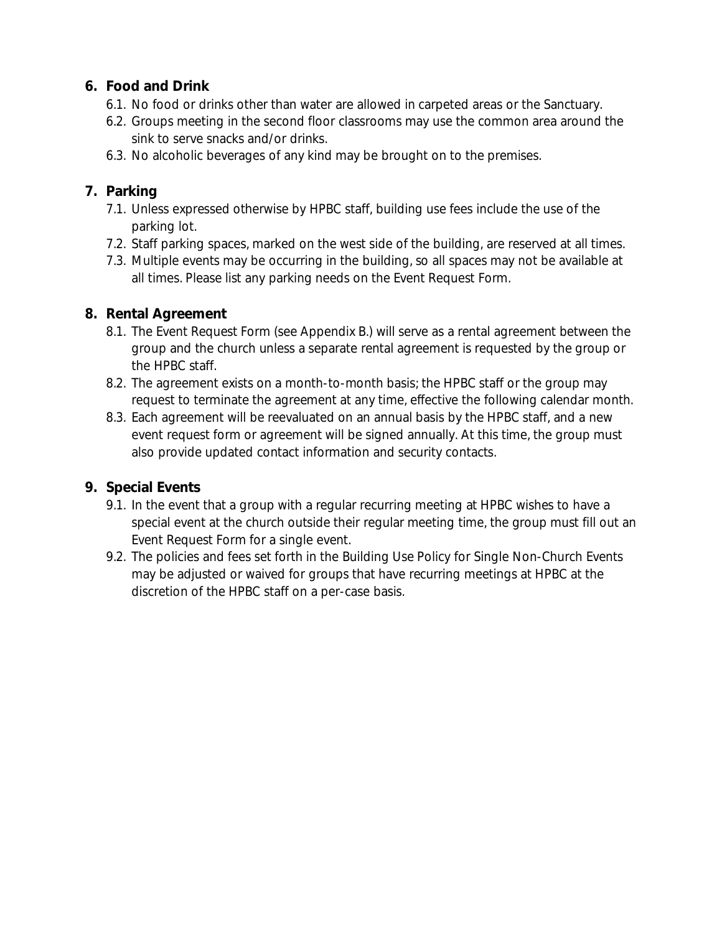#### **6. Food and Drink**

- 6.1. No food or drinks other than water are allowed in carpeted areas or the Sanctuary.
- 6.2. Groups meeting in the second floor classrooms may use the common area around the sink to serve snacks and/or drinks.
- 6.3. No alcoholic beverages of any kind may be brought on to the premises.

#### **7. Parking**

- 7.1. Unless expressed otherwise by HPBC staff, building use fees include the use of the parking lot.
- 7.2. Staff parking spaces, marked on the west side of the building, are reserved at all times.
- 7.3. Multiple events may be occurring in the building, so all spaces may not be available at all times. Please list any parking needs on the Event Request Form.

#### **8. Rental Agreement**

- 8.1. The Event Request Form (see Appendix B.) will serve as a rental agreement between the group and the church unless a separate rental agreement is requested by the group or the HPBC staff.
- 8.2. The agreement exists on a month-to-month basis; the HPBC staff or the group may request to terminate the agreement at any time, effective the following calendar month.
- 8.3. Each agreement will be reevaluated on an annual basis by the HPBC staff, and a new event request form or agreement will be signed annually. At this time, the group must also provide updated contact information and security contacts.

### **9. Special Events**

- 9.1. In the event that a group with a regular recurring meeting at HPBC wishes to have a special event at the church outside their regular meeting time, the group must fill out an Event Request Form for a single event.
- 9.2. The policies and fees set forth in the Building Use Policy for Single Non-Church Events may be adjusted or waived for groups that have recurring meetings at HPBC at the discretion of the HPBC staff on a per-case basis.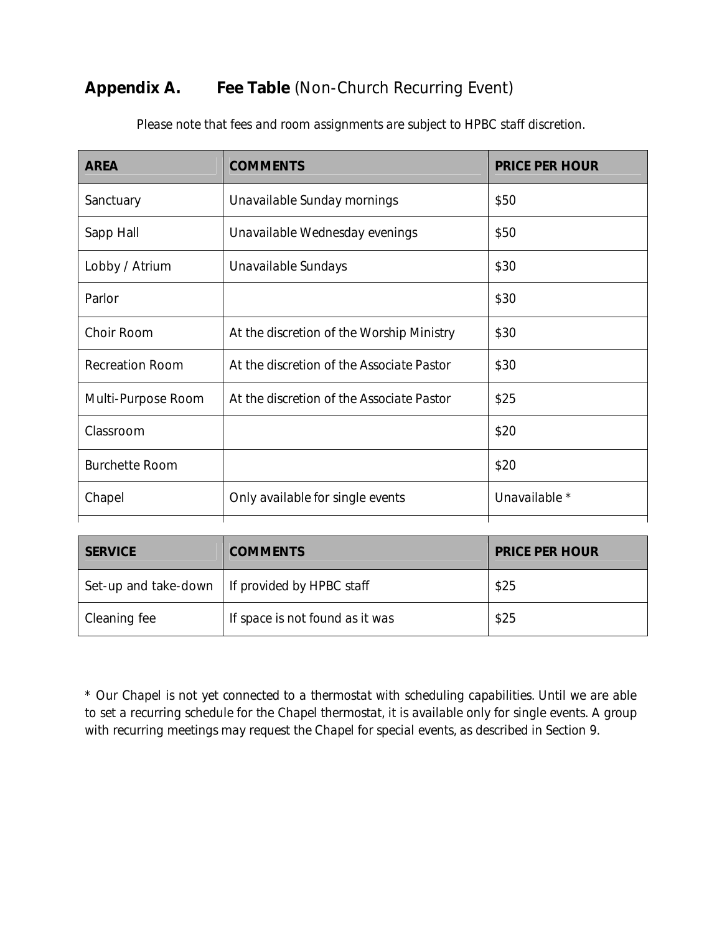## **Appendix A. Fee Table** (Non-Church Recurring Event)

| <b>AREA</b>            | <b>COMMENTS</b>                           | <b>PRICE PER HOUR</b> |
|------------------------|-------------------------------------------|-----------------------|
| Sanctuary              | Unavailable Sunday mornings               | \$50                  |
| Sapp Hall              | Unavailable Wednesday evenings            | \$50                  |
| Lobby / Atrium         | Unavailable Sundays                       | \$30                  |
| Parlor                 |                                           | \$30                  |
| Choir Room             | At the discretion of the Worship Ministry | \$30                  |
| <b>Recreation Room</b> | At the discretion of the Associate Pastor | \$30                  |
| Multi-Purpose Room     | At the discretion of the Associate Pastor | \$25                  |
| Classroom              |                                           | \$20                  |
| <b>Burchette Room</b>  |                                           | \$20                  |
| Chapel                 | Only available for single events          | Unavailable *         |

*Please note that fees and room assignments are subject to HPBC staff discretion.*

| <b>SERVICE</b> | <b>COMMENTS</b>                                  | <b>PRICE PER HOUR</b> |
|----------------|--------------------------------------------------|-----------------------|
|                | Set-up and take-down   If provided by HPBC staff | \$25                  |
| Cleaning fee   | If space is not found as it was                  | \$25                  |

*\* Our Chapel is not yet connected to a thermostat with scheduling capabilities. Until we are able to set a recurring schedule for the Chapel thermostat, it is available only for single events. A group with recurring meetings may request the Chapel for special events, as described in Section 9.*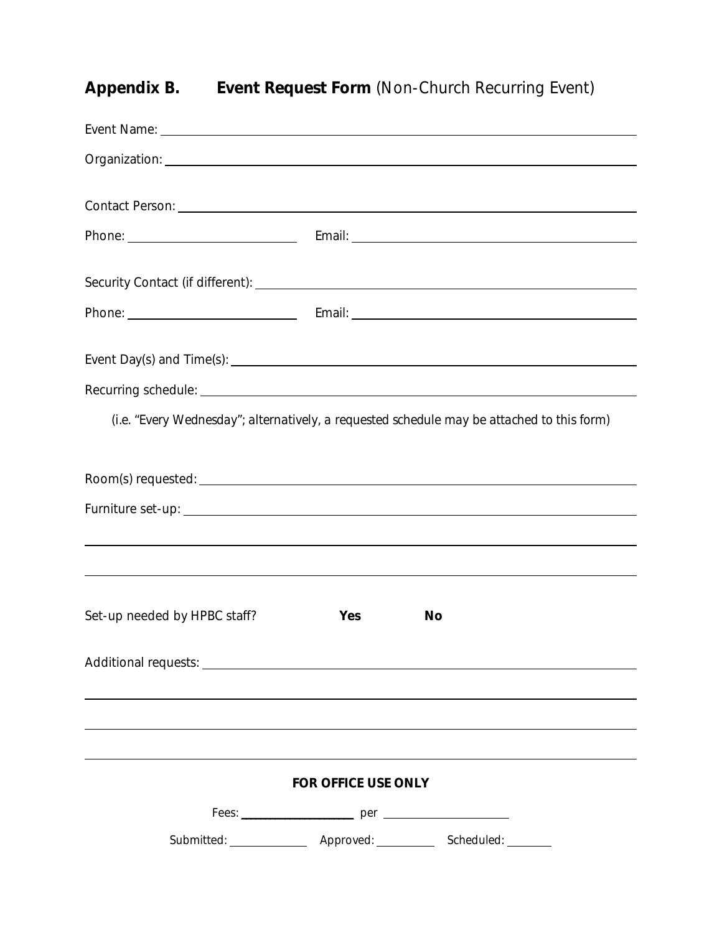# **Appendix B. Event Request Form** (Non-Church Recurring Event)

| (i.e. "Every Wednesday"; alternatively, a requested schedule may be attached to this form) |                            |                                                                                  |
|--------------------------------------------------------------------------------------------|----------------------------|----------------------------------------------------------------------------------|
|                                                                                            |                            |                                                                                  |
|                                                                                            |                            |                                                                                  |
|                                                                                            |                            |                                                                                  |
|                                                                                            |                            | ,我们也不会有什么。""我们的人,我们也不会有什么?""我们的人,我们也不会有什么?""我们的人,我们也不会有什么?""我们的人,我们也不会有什么?""我们的人 |
|                                                                                            |                            |                                                                                  |
| Set-up needed by HPBC staff?                                                               | Yes                        | <b>No</b>                                                                        |
|                                                                                            |                            |                                                                                  |
|                                                                                            |                            |                                                                                  |
|                                                                                            |                            |                                                                                  |
|                                                                                            | <b>FOR OFFICE USE ONLY</b> |                                                                                  |
|                                                                                            |                            |                                                                                  |
|                                                                                            |                            |                                                                                  |